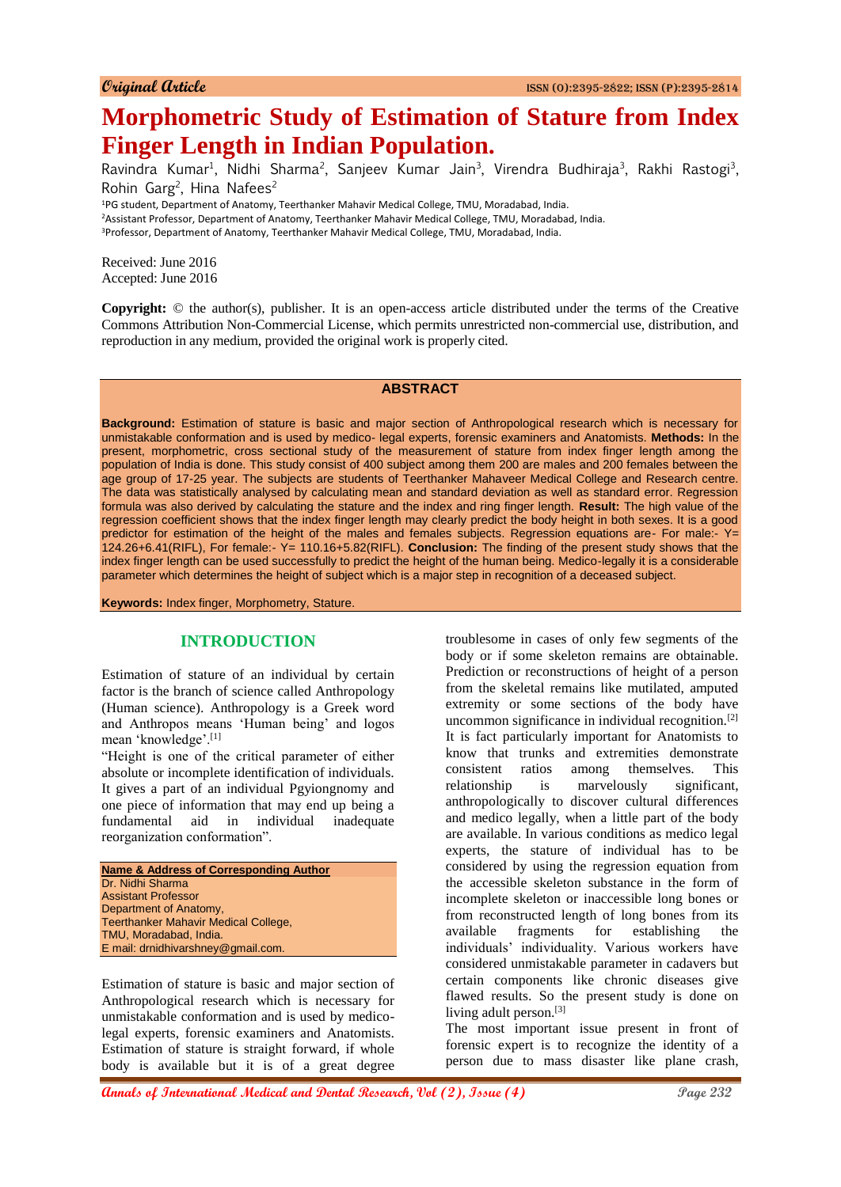# **Morphometric Study of Estimation of Stature from Index Finger Length in Indian Population.**

Ravindra Kumar<sup>1</sup>, Nidhi Sharma<sup>2</sup>, Sanjeev Kumar Jain<sup>3</sup>, Virendra Budhiraja<sup>3</sup>, Rakhi Rastogi<sup>3</sup>, Rohin Garg<sup>2</sup>, Hina Nafees<sup>2</sup>

<sup>1</sup>PG student, Department of Anatomy, Teerthanker Mahavir Medical College, TMU, Moradabad, India. <sup>2</sup>Assistant Professor, Department of Anatomy, Teerthanker Mahavir Medical College, TMU, Moradabad, India. <sup>3</sup>Professor, Department of Anatomy, Teerthanker Mahavir Medical College, TMU, Moradabad, India.

Received: June 2016 Accepted: June 2016

**Copyright:** © the author(s), publisher. It is an open-access article distributed under the terms of the Creative Commons Attribution Non-Commercial License, which permits unrestricted non-commercial use, distribution, and reproduction in any medium, provided the original work is properly cited.

#### **ABSTRACT**

**Background:** Estimation of stature is basic and major section of Anthropological research which is necessary for unmistakable conformation and is used by medico- legal experts, forensic examiners and Anatomists. **Methods:** In the present, morphometric, cross sectional study of the measurement of stature from index finger length among the population of India is done. This study consist of 400 subject among them 200 are males and 200 females between the age group of 17-25 year. The subjects are students of Teerthanker Mahaveer Medical College and Research centre. The data was statistically analysed by calculating mean and standard deviation as well as standard error. Regression formula was also derived by calculating the stature and the index and ring finger length. **Result:** The high value of the regression coefficient shows that the index finger length may clearly predict the body height in both sexes. It is a good predictor for estimation of the height of the males and females subjects. Regression equations are- For male:- Y= 124.26+6.41(RIFL), For female:- Y= 110.16+5.82(RIFL). **Conclusion:** The finding of the present study shows that the index finger length can be used successfully to predict the height of the human being. Medico-legally it is a considerable parameter which determines the height of subject which is a major step in recognition of a deceased subject.

**Keywords:** Index finger, Morphometry, Stature.

## **INTRODUCTION**

Estimation of stature of an individual by certain factor is the branch of science called Anthropology (Human science). Anthropology is a Greek word and Anthropos means 'Human being' and logos mean 'knowledge'.[1]

"Height is one of the critical parameter of either absolute or incomplete identification of individuals. It gives a part of an individual Pgyiongnomy and one piece of information that may end up being a fundamental aid in individual inadequate reorganization conformation".

Estimation of stature is basic and major section of Anthropological research which is necessary for unmistakable conformation and is used by medicolegal experts, forensic examiners and Anatomists. Estimation of stature is straight forward, if whole body is available but it is of a great degree

troublesome in cases of only few segments of the body or if some skeleton remains are obtainable. Prediction or reconstructions of height of a person from the skeletal remains like mutilated, amputed extremity or some sections of the body have uncommon significance in individual recognition.[2] It is fact particularly important for Anatomists to know that trunks and extremities demonstrate consistent ratios among themselves. This relationship is marvelously significant, anthropologically to discover cultural differences and medico legally, when a little part of the body are available. In various conditions as medico legal experts, the stature of individual has to be considered by using the regression equation from the accessible skeleton substance in the form of incomplete skeleton or inaccessible long bones or from reconstructed length of long bones from its available fragments for establishing the individuals' individuality. Various workers have considered unmistakable parameter in cadavers but certain components like chronic diseases give flawed results. So the present study is done on living adult person.<sup>[3]</sup>

The most important issue present in front of forensic expert is to recognize the identity of a person due to mass disaster like plane crash,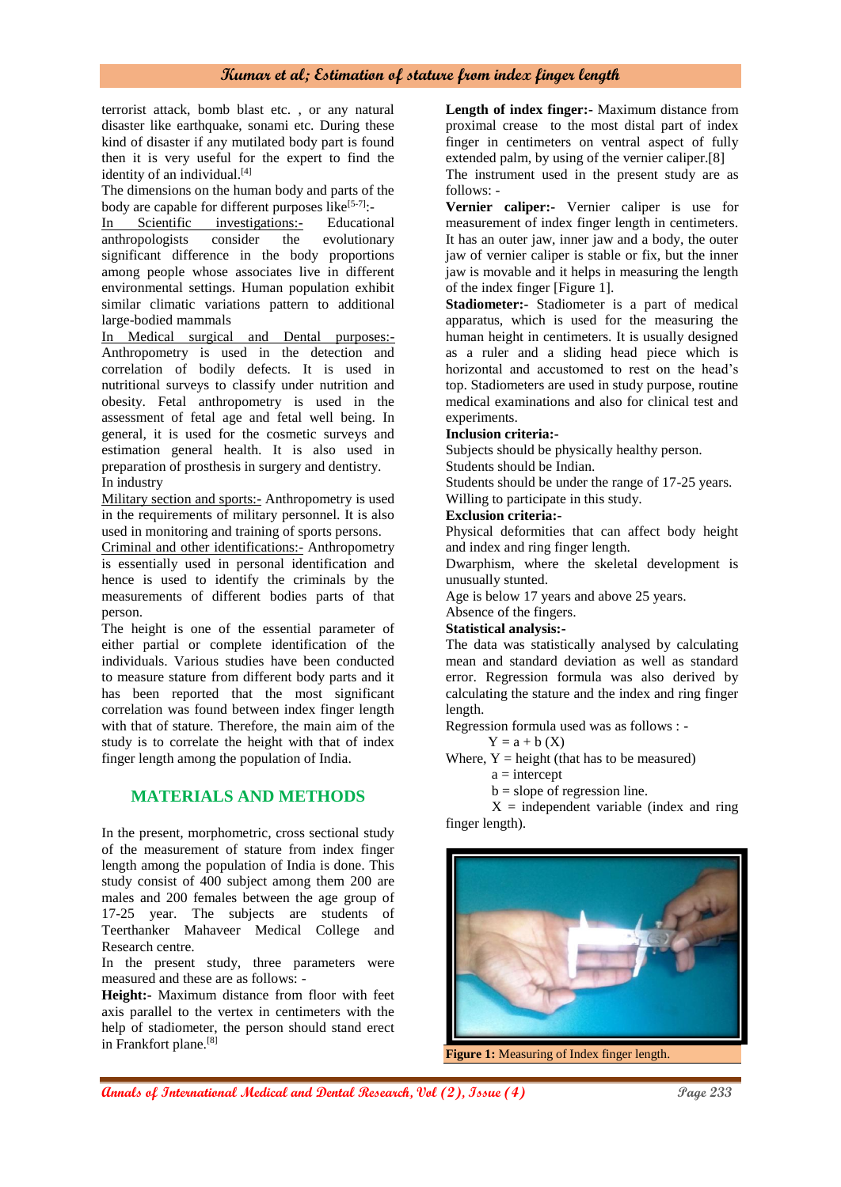terrorist attack, bomb blast etc. , or any natural disaster like earthquake, sonami etc. During these kind of disaster if any mutilated body part is found then it is very useful for the expert to find the identity of an individual.<sup>[4]</sup>

The dimensions on the human body and parts of the body are capable for different purposes like $[5-7]$ :

In Scientific investigations:- Educational<br>anthropologists consider the evolutionary anthropologists consider the evolutionary significant difference in the body proportions among people whose associates live in different environmental settings. Human population exhibit similar climatic variations pattern to additional large-bodied mammals

In Medical surgical and Dental purposes:- Anthropometry is used in the detection and correlation of bodily defects. It is used in nutritional surveys to classify under nutrition and obesity. Fetal anthropometry is used in the assessment of fetal age and fetal well being. In general, it is used for the cosmetic surveys and estimation general health. It is also used in preparation of prosthesis in surgery and dentistry. In industry

Military section and sports:- Anthropometry is used in the requirements of military personnel. It is also used in monitoring and training of sports persons.

Criminal and other identifications:- Anthropometry is essentially used in personal identification and hence is used to identify the criminals by the measurements of different bodies parts of that person.

The height is one of the essential parameter of either partial or complete identification of the individuals. Various studies have been conducted to measure stature from different body parts and it has been reported that the most significant correlation was found between index finger length with that of stature. Therefore, the main aim of the study is to correlate the height with that of index finger length among the population of India.

# **MATERIALS AND METHODS**

In the present, morphometric, cross sectional study of the measurement of stature from index finger length among the population of India is done. This study consist of 400 subject among them 200 are males and 200 females between the age group of 17-25 year. The subjects are students of Teerthanker Mahaveer Medical College and Research centre.

In the present study, three parameters were measured and these are as follows: -

**Height:-** Maximum distance from floor with feet axis parallel to the vertex in centimeters with the help of stadiometer, the person should stand erect in Frankfort plane.[8]

**Length of index finger:-** Maximum distance from proximal crease to the most distal part of index finger in centimeters on ventral aspect of fully extended palm, by using of the vernier caliper.[8]

The instrument used in the present study are as follows: -

**Vernier caliper:-** Vernier caliper is use for measurement of index finger length in centimeters. It has an outer jaw, inner jaw and a body, the outer jaw of vernier caliper is stable or fix, but the inner jaw is movable and it helps in measuring the length of the index finger [Figure 1].

**Stadiometer:-** Stadiometer is a part of medical apparatus, which is used for the measuring the human height in centimeters. It is usually designed as a ruler and a sliding head piece which is horizontal and accustomed to rest on the head's top. Stadiometers are used in study purpose, routine medical examinations and also for clinical test and experiments.

#### **Inclusion criteria:-**

Subjects should be physically healthy person.

Students should be Indian.

Students should be under the range of 17-25 years.

Willing to participate in this study.

#### **Exclusion criteria:-**

Physical deformities that can affect body height and index and ring finger length.

Dwarphism, where the skeletal development is unusually stunted.

Age is below 17 years and above 25 years.

Absence of the fingers.

# **Statistical analysis:-**

The data was statistically analysed by calculating mean and standard deviation as well as standard error. Regression formula was also derived by calculating the stature and the index and ring finger length.

Regression formula used was as follows : -

 $Y = a + b(X)$ 

Where,  $Y = height$  (that has to be measured)  $a =$ intercept

 $b = slope of regression line.$ 

 $X =$  independent variable (index and ring finger length).



**Figure 1:** Measuring of Index finger length.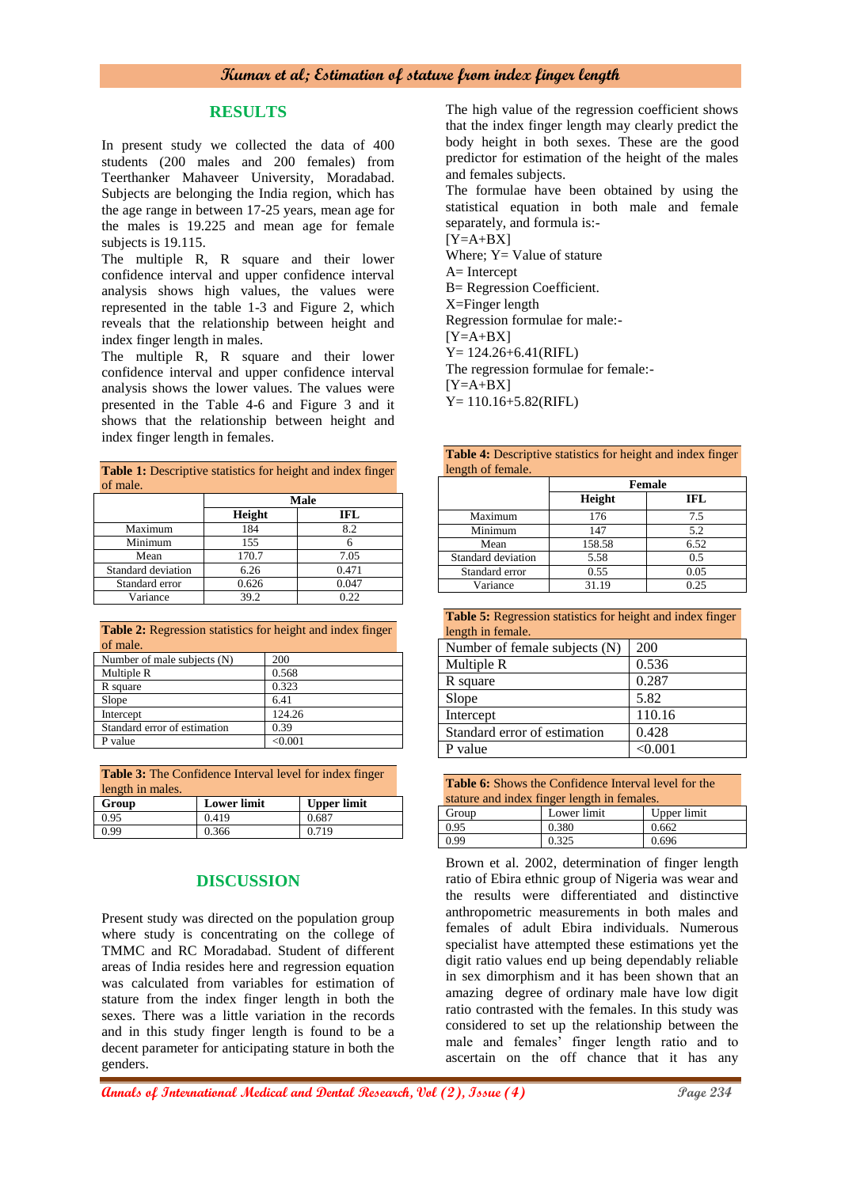#### **RESULTS**

In present study we collected the data of 400 students (200 males and 200 females) from Teerthanker Mahaveer University, Moradabad. Subjects are belonging the India region, which has the age range in between 17-25 years, mean age for the males is 19.225 and mean age for female subjects is 19.115.

The multiple R, R square and their lower confidence interval and upper confidence interval analysis shows high values, the values were represented in the table 1-3 and Figure 2, which reveals that the relationship between height and index finger length in males.

The multiple R, R square and their lower confidence interval and upper confidence interval analysis shows the lower values. The values were presented in the Table 4-6 and Figure 3 and it shows that the relationship between height and index finger length in females.

| <b>Table 1:</b> Descriptive statistics for height and index finger<br>of male. |        |       |  |  |
|--------------------------------------------------------------------------------|--------|-------|--|--|
|                                                                                |        | Male  |  |  |
|                                                                                | Height | IFL   |  |  |
| Maximum                                                                        | 184    | 8.2   |  |  |
| Minimum                                                                        | 155    | 6     |  |  |
| Mean                                                                           | 170.7  | 7.05  |  |  |
| Standard deviation                                                             | 6.26   | 0.471 |  |  |
| Standard error                                                                 | 0.626  | 0.047 |  |  |
| Variance                                                                       | 39.2   | 0.22  |  |  |

|          | <b>Table 2:</b> Regression statistics for height and index finger |  |  |  |
|----------|-------------------------------------------------------------------|--|--|--|
| of male. |                                                                   |  |  |  |

| Number of male subjects (N)  | 200    |
|------------------------------|--------|
| Multiple R                   | 0.568  |
| R square                     | 0.323  |
| Slope                        | 6.41   |
| Intercept                    | 124.26 |
| Standard error of estimation | 0.39   |
| P value                      | <0.001 |

**Table 3:** The Confidence Interval level for index finger length in males.

| Group | <b>Lower limit</b> | <b>Upper limit</b> |
|-------|--------------------|--------------------|
| 0.95  | 0.419              | 0.687              |
| 0.99  | 0.366              | 0.719              |

# **DISCUSSION**

Present study was directed on the population group where study is concentrating on the college of TMMC and RC Moradabad. Student of different areas of India resides here and regression equation was calculated from variables for estimation of stature from the index finger length in both the sexes. There was a little variation in the records and in this study finger length is found to be a decent parameter for anticipating stature in both the genders.

The high value of the regression coefficient shows that the index finger length may clearly predict the body height in both sexes. These are the good predictor for estimation of the height of the males and females subjects.

The formulae have been obtained by using the statistical equation in both male and female separately, and formula is:-

 $[Y=A+BX]$ Where;  $Y = Value of$  stature A= Intercept B= Regression Coefficient. X=Finger length Regression formulae for male:-  $[Y=A+BX]$ Y= 124.26+6.41(RIFL) The regression formulae for female:-  $[Y=A+BX]$ Y= 110.16+5.82(RIFL)

| <b>Table 4:</b> Descriptive statistics for height and index finger |  |  |
|--------------------------------------------------------------------|--|--|
| length of female.                                                  |  |  |

|                    |        | <b>Female</b> |
|--------------------|--------|---------------|
|                    | Height | <b>IFL</b>    |
| Maximum            | 176    | 7.5           |
| Minimum            | 147    | 5.2           |
| Mean               | 158.58 | 6.52          |
| Standard deviation | 5.58   | 0.5           |
| Standard error     | 0.55   | 0.05          |
| Variance           | 31.19  | 0.25          |

|                   | <b>Table 5:</b> Regression statistics for height and index finger |  |  |  |
|-------------------|-------------------------------------------------------------------|--|--|--|
| length in female. |                                                                   |  |  |  |

| Number of female subjects (N) | 200     |
|-------------------------------|---------|
| Multiple R                    | 0.536   |
| R square                      | 0.287   |
| Slope                         | 5.82    |
| Intercept                     | 110.16  |
| Standard error of estimation  | 0.428   |
| P value                       | < 0.001 |
|                               |         |

| <b>Table 6:</b> Shows the Confidence Interval level for the |  |
|-------------------------------------------------------------|--|
| stature and index finger length in females.                 |  |

| Group | Lower limit | Upper limit |  |  |
|-------|-------------|-------------|--|--|
| 0.95  | 0.380       | 0.662       |  |  |
| 0.99  | 0.325       | 0.696       |  |  |

Brown et al. 2002, determination of finger length ratio of Ebira ethnic group of Nigeria was wear and the results were differentiated and distinctive anthropometric measurements in both males and females of adult Ebira individuals. Numerous specialist have attempted these estimations yet the digit ratio values end up being dependably reliable in sex dimorphism and it has been shown that an amazing degree of ordinary male have low digit ratio contrasted with the females. In this study was considered to set up the relationship between the male and females' finger length ratio and to ascertain on the off chance that it has any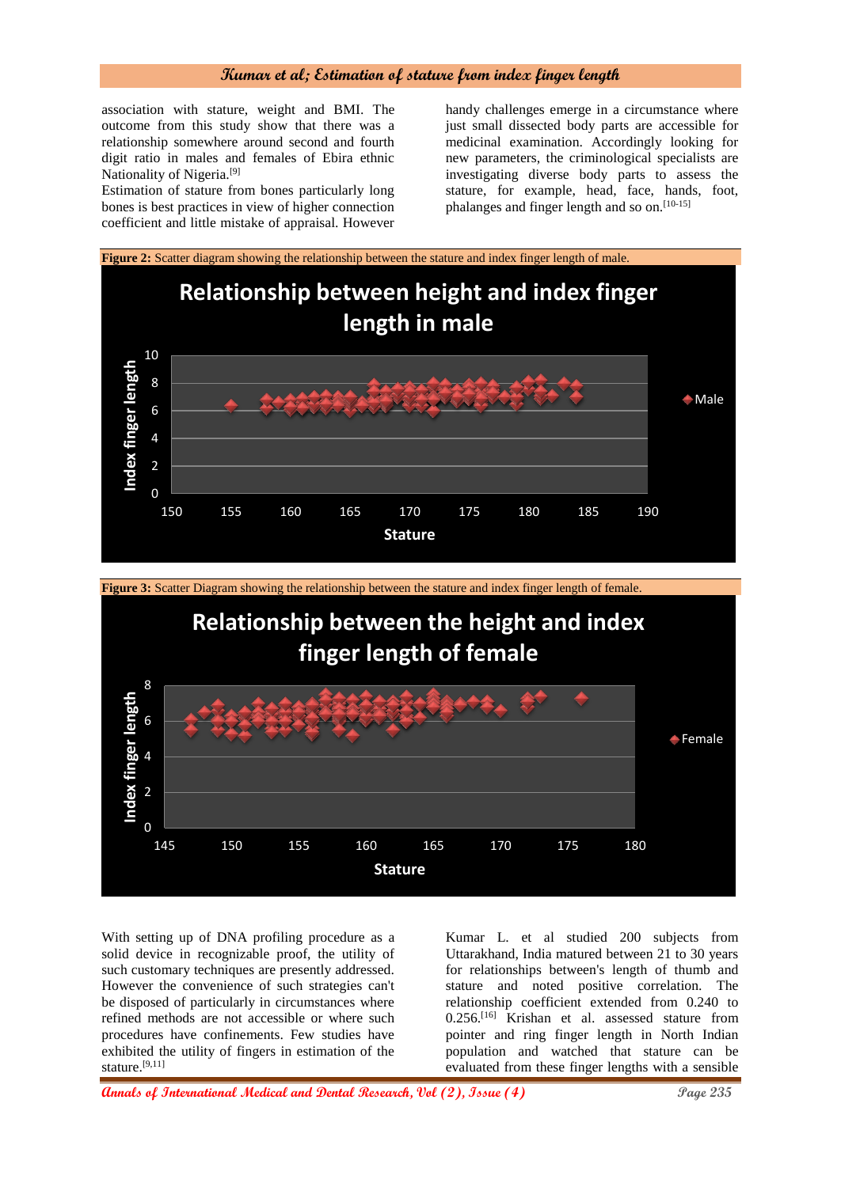association with stature, weight and BMI. The outcome from this study show that there was a relationship somewhere around second and fourth digit ratio in males and females of Ebira ethnic Nationality of Nigeria.[9]

Estimation of stature from bones particularly long bones is best practices in view of higher connection coefficient and little mistake of appraisal. However

handy challenges emerge in a circumstance where just small dissected body parts are accessible for medicinal examination. Accordingly looking for new parameters, the criminological specialists are investigating diverse body parts to assess the stature, for example, head, face, hands, foot, phalanges and finger length and so on.<sup>[10-15]</sup>



**Figure 3:** Scatter Diagram showing the relationship between the stature and index finger length of female.



With setting up of DNA profiling procedure as a solid device in recognizable proof, the utility of such customary techniques are presently addressed. However the convenience of such strategies can't be disposed of particularly in circumstances where refined methods are not accessible or where such procedures have confinements. Few studies have exhibited the utility of fingers in estimation of the stature.[9,11]

Kumar L. et al studied 200 subjects from Uttarakhand, India matured between 21 to 30 years for relationships between's length of thumb and stature and noted positive correlation. The relationship coefficient extended from 0.240 to 0.256.[16] Krishan et al. assessed stature from pointer and ring finger length in North Indian population and watched that stature can be evaluated from these finger lengths with a sensible